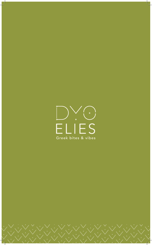